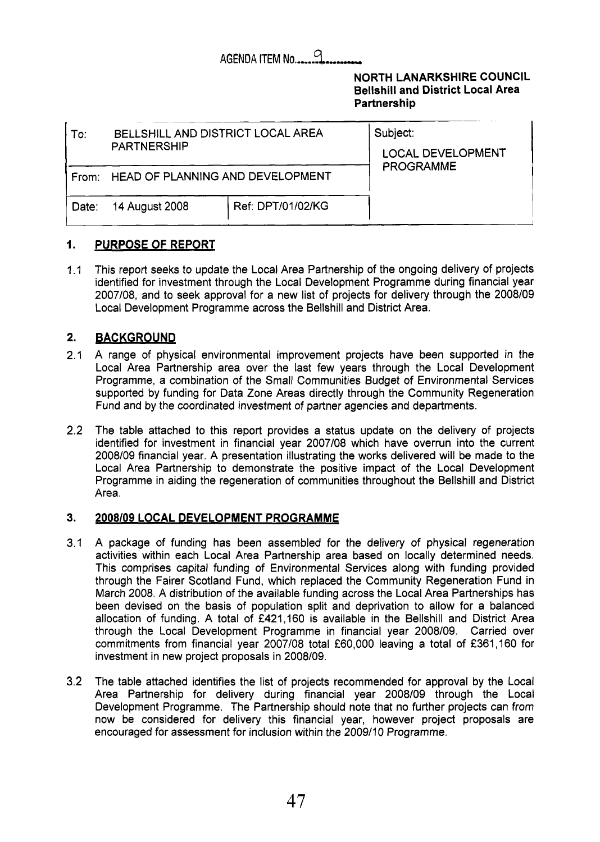### **AGENDA ITEM No........**

### **NORTH LANARKSHIRE COUNCIL Bellshill and District Local Area Partnership**

| To∶   | BELLSHILL AND DISTRICT LOCAL AREA<br><b>PARTNERSHIP</b> | Subject:<br><b>LOCAL DEVELOPMENT</b> |  |
|-------|---------------------------------------------------------|--------------------------------------|--|
|       | From: HEAD OF PLANNING AND DEVELOPMENT                  | <b>PROGRAMME</b>                     |  |
| Date: | 14 August 2008                                          | Ref: DPT/01/02/KG                    |  |

#### **1. PURPOSE OF REPORT**

1.1 This report seeks to update the Local Area Partnership of the ongoing delivery of projects identified for investment through the Local Development Programme during financial year 2007108, and to seek approval for a new list of projects for delivery through the 2008109 Local Development Programme across the Bellshill and District Area.

#### **2. BACKGROUND**

- 2.1 A range of physical environmental improvement projects have been supported in the Local Area Partnership area over the last few years through the Local Development Programme, a combination of the Small Communities Budget of Environmental Services supported by funding for Data Zone Areas directly through the Community Regeneration Fund and by the coordinated investment of partner agencies and departments.
- 2.2 The table attached to this report provides a status update on the delivery of projects identified for investment in financial year 2007/08 which have overrun into the current 2008/09 financial year. A presentation illustrating the works delivered will be made to the Local Area Partnership to demonstrate the positive impact of the Local Development Programme in aiding the regeneration of communities throughout the Bellshill and District Area.

#### **3. 2008/09 LOCAL DEVELOPMENT PROGRAMME**

- AGENDATEN III. (AND METALLY AND SERVER COUNCIL MONARISHIPS COUNCIL MONARISHIPS COUNCIL METALL AND DISTRICT LOCAL AREA is space to provide the space of the space of the space of the space of the space of the space of the s 3.1 A package of funding has been assembled for the delivery of physical regeneration activities within each Local Area Partnership area based on locally determined needs. This comprises capital funding of Environmental Services along with funding provided through the Fairer Scotland Fund, which replaced the Community Regeneration Fund in March 2008. **A** distribution of the available funding across the Local Area Partnerships has been devised on the basis of population split and deprivation to allow for a balanced allocation of funding. A total of £421,160 is available in the Bellshill and District Area through the Local Development Programme in financial year 2008/09. Carried over commitments from financial year 2007/08 total £60,000 leaving a total of £361,160 for investment in new project proposals in 2008/09.
- 3.2 The table attached identifies the list of projects recommended for approval by the Local Area Partnership for delivery during financial year 2008/09 through the Local Development Programme. The Partnership should note that no further projects can from now be considered for delivery this financial year, however project proposals are encouraged for assessment for inclusion within the 2009/10 Programme.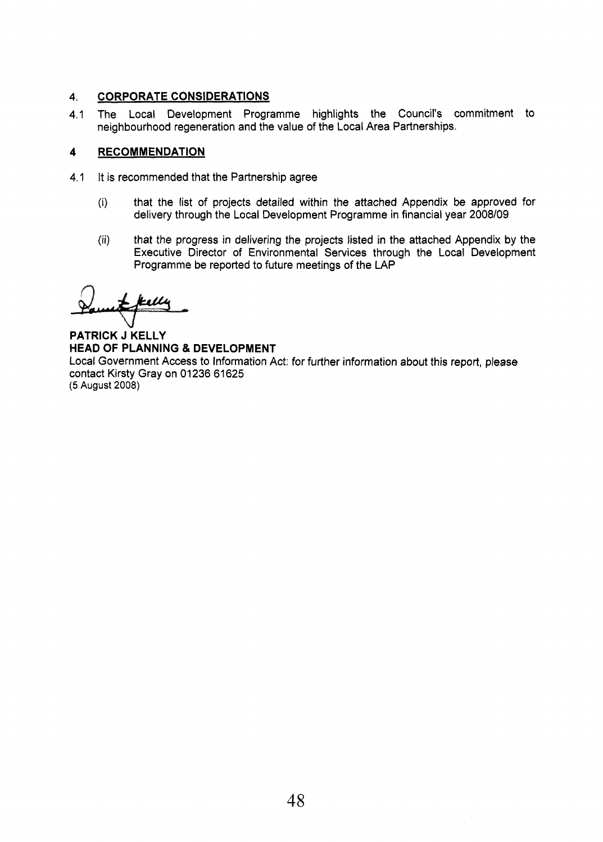#### 4. **CORPORATE CONSIDERATIONS**

4.1 The Local Development Programme highlights the Council's commitment to neighbourhood regeneration and the value of the Local Area Partnerships.

#### **4 RECOMMENDATION**

- 4.1 It is recommended that the Partnership agree
	- (i) that the list of projects detailed within the attached Appendix be approved for delivery through the Local Development Programme in financial year **2008/09**
	- (ii) that the progress in delivering the projects listed in the attached Appendix by the Executive Director of Environmental Services through the Local Development Programme be reported to future meetings of the LAP

ksillu

**PATRICK J KELLY HEAD OF PLANNING** & **DEVELOPMENT**  Local Government Access to Information Act: for further information about this report, please contact Kirsty Gray on 01 **236** 61 **625 (5 August 2008)**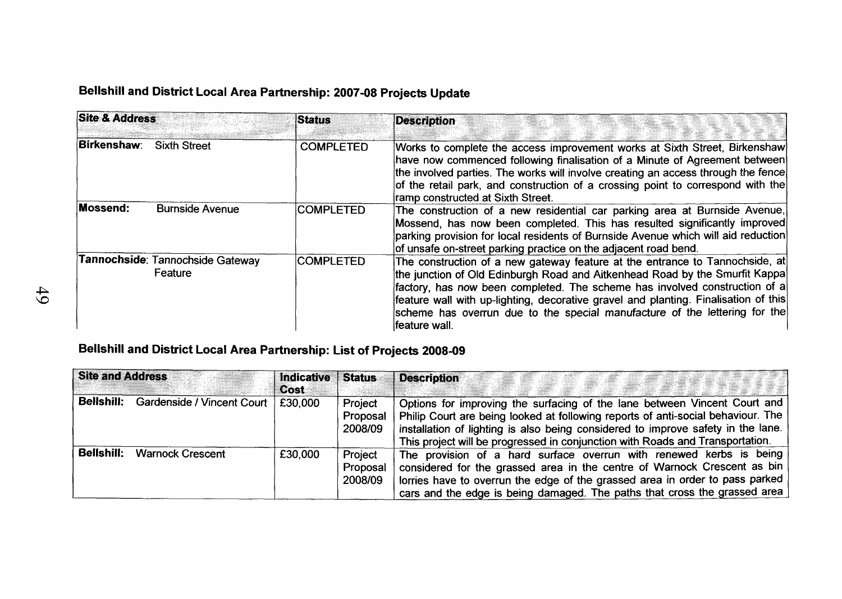## **Bellshill and District Local Area Partnership: 2007-08 Projects Update**

| <b>Site &amp; Address</b> |                                             | <b>Status</b>    | <b>Description</b>                                                                                                                                                                                                                                                                                                                                                                                                              |  |
|---------------------------|---------------------------------------------|------------------|---------------------------------------------------------------------------------------------------------------------------------------------------------------------------------------------------------------------------------------------------------------------------------------------------------------------------------------------------------------------------------------------------------------------------------|--|
| Birkenshaw:               | <b>Sixth Street</b>                         | <b>COMPLETED</b> | Works to complete the access improvement works at Sixth Street, Birkenshaw<br>have now commenced following finalisation of a Minute of Agreement between<br>the involved parties. The works will involve creating an access through the fence<br>of the retail park, and construction of a crossing point to correspond with the<br>ramp constructed at Sixth Street.                                                           |  |
| Mossend:                  | <b>Burnside Avenue</b>                      | <b>COMPLETED</b> | The construction of a new residential car parking area at Burnside Avenue,<br>Mossend, has now been completed. This has resulted significantly improved<br>parking provision for local residents of Burnside Avenue which will aid reduction<br>of unsafe on-street parking practice on the adjacent road bend.                                                                                                                 |  |
|                           | Tannochside: Tannochside Gateway<br>Feature | <b>COMPLETED</b> | The construction of a new gateway feature at the entrance to Tannochside, at<br>the junction of Old Edinburgh Road and Aitkenhead Road by the Smurfit Kappa<br>factory, has now been completed. The scheme has involved construction of a<br>feature wall with up-lighting, decorative gravel and planting. Finalisation of this<br>scheme has overrun due to the special manufacture of the lettering for the<br>feature wall. |  |

### **Bellshill and District Local Area Partnership: List of Projects 2008-09**

| <b>Site and Address</b> |                                         | <b>Indicative</b><br>Cost | <b>Status</b>                  | <b>Description</b>                                                                                                                                                                                                                                                                                                                 |
|-------------------------|-----------------------------------------|---------------------------|--------------------------------|------------------------------------------------------------------------------------------------------------------------------------------------------------------------------------------------------------------------------------------------------------------------------------------------------------------------------------|
| <b>Bellshill:</b>       | Gardenside / Vincent Court <sup>1</sup> | £30,000                   | Project<br>Proposal<br>2008/09 | Options for improving the surfacing of the lane between Vincent Court and<br>Philip Court are being looked at following reports of anti-social behaviour. The<br>installation of lighting is also being considered to improve safety in the lane.<br>This project will be progressed in conjunction with Roads and Transportation. |
| <b>Bellshill:</b>       | <b>Warnock Crescent</b>                 | £30,000                   | Project<br>Proposal<br>2008/09 | The provision of a hard surface overrun with renewed kerbs is being<br>considered for the grassed area in the centre of Warnock Crescent as bin<br>lorries have to overrun the edge of the grassed area in order to pass parked<br>cars and the edge is being damaged. The paths that cross the grassed area                       |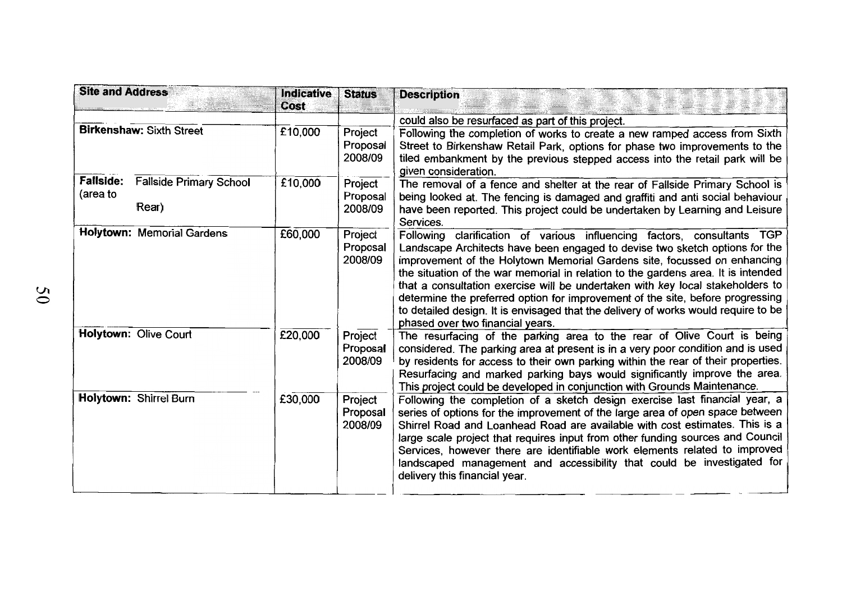| <b>Site and Address</b>      |                                         | <b>Indicative</b><br>Cost | <b>Status</b>                  | <b>Description</b>                                                                                                                                                                                                                                                                                                                                                                                                                                                                                                                                                                                                    |
|------------------------------|-----------------------------------------|---------------------------|--------------------------------|-----------------------------------------------------------------------------------------------------------------------------------------------------------------------------------------------------------------------------------------------------------------------------------------------------------------------------------------------------------------------------------------------------------------------------------------------------------------------------------------------------------------------------------------------------------------------------------------------------------------------|
|                              |                                         |                           |                                | could also be resurfaced as part of this project.                                                                                                                                                                                                                                                                                                                                                                                                                                                                                                                                                                     |
|                              | <b>Birkenshaw: Sixth Street</b>         | £10,000                   | Project<br>Proposal<br>2008/09 | Following the completion of works to create a new ramped access from Sixth<br>Street to Birkenshaw Retail Park, options for phase two improvements to the<br>tiled embankment by the previous stepped access into the retail park will be<br>given consideration.                                                                                                                                                                                                                                                                                                                                                     |
| <b>Fallside:</b><br>(area to | <b>Fallside Primary School</b><br>Rear) | £10,000                   | Project<br>Proposal<br>2008/09 | The removal of a fence and shelter at the rear of Fallside Primary School is<br>being looked at. The fencing is damaged and graffiti and anti social behaviour<br>have been reported. This project could be undertaken by Learning and Leisure<br>Services.                                                                                                                                                                                                                                                                                                                                                           |
|                              | <b>Holytown: Memorial Gardens</b>       | £60,000                   | Project<br>Proposal<br>2008/09 | Following clarification of various influencing factors, consultants TGP<br>Landscape Architects have been engaged to devise two sketch options for the<br>improvement of the Holytown Memorial Gardens site, focussed on enhancing<br>the situation of the war memorial in relation to the gardens area. It is intended<br>that a consultation exercise will be undertaken with key local stakeholders to<br>determine the preferred option for improvement of the site, before progressing<br>to detailed design. It is envisaged that the delivery of works would require to be<br>phased over two financial years. |
|                              | Holytown: Olive Court                   | £20,000                   | Project<br>Proposal<br>2008/09 | The resurfacing of the parking area to the rear of Olive Court is being<br>considered. The parking area at present is in a very poor condition and is used<br>by residents for access to their own parking within the rear of their properties.<br>Resurfacing and marked parking bays would significantly improve the area.<br>This project could be developed in conjunction with Grounds Maintenance.                                                                                                                                                                                                              |
|                              | Holytown: Shirrel Burn                  | £30,000                   | Project<br>Proposal<br>2008/09 | Following the completion of a sketch design exercise last financial year, a<br>series of options for the improvement of the large area of open space between<br>Shirrel Road and Loanhead Road are available with cost estimates. This is a<br>large scale project that requires input from other funding sources and Council<br>Services, however there are identifiable work elements related to improved<br>landscaped management and accessibility that could be investigated for<br>delivery this financial year.                                                                                                |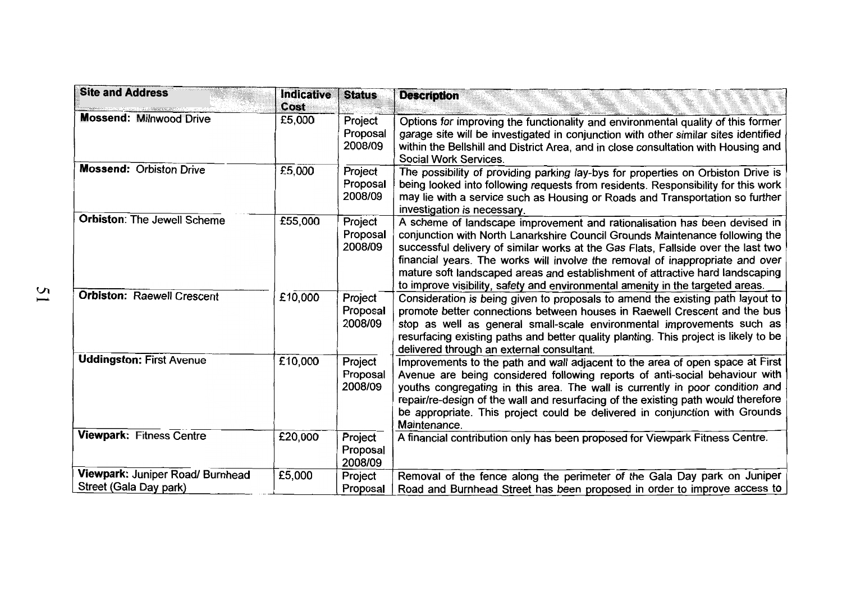| <b>Site and Address</b>                                    | <b>Indicative</b><br>Cost | <b>Status</b>                  | <b>Description</b>                                                                                                                                                                                                                                                                                                                                                                                                                                                                                 |
|------------------------------------------------------------|---------------------------|--------------------------------|----------------------------------------------------------------------------------------------------------------------------------------------------------------------------------------------------------------------------------------------------------------------------------------------------------------------------------------------------------------------------------------------------------------------------------------------------------------------------------------------------|
| <b>Mossend: Milnwood Drive</b>                             | £5,000                    | Project<br>Proposal<br>2008/09 | Options for improving the functionality and environmental quality of this former<br>garage site will be investigated in conjunction with other similar sites identified<br>within the Bellshill and District Area, and in close consultation with Housing and<br>Social Work Services.                                                                                                                                                                                                             |
| <b>Mossend: Orbiston Drive</b>                             | £5,000                    | Project<br>Proposal<br>2008/09 | The possibility of providing parking lay-bys for properties on Orbiston Drive is<br>being looked into following requests from residents. Responsibility for this work<br>may lie with a service such as Housing or Roads and Transportation so further<br>investigation is necessary.                                                                                                                                                                                                              |
| <b>Orbiston: The Jewell Scheme</b>                         | £55,000                   | Project<br>Proposal<br>2008/09 | A scheme of landscape improvement and rationalisation has been devised in<br>conjunction with North Lanarkshire Council Grounds Maintenance following the<br>successful delivery of similar works at the Gas Flats, Fallside over the last two<br>financial years. The works will involve the removal of inappropriate and over<br>mature soft landscaped areas and establishment of attractive hard landscaping<br>to improve visibility, safety and environmental amenity in the targeted areas. |
| <b>Orbiston: Raewell Crescent</b>                          | £10,000                   | Project<br>Proposal<br>2008/09 | Consideration is being given to proposals to amend the existing path layout to<br>promote better connections between houses in Raewell Crescent and the bus<br>stop as well as general small-scale environmental improvements such as<br>resurfacing existing paths and better quality planting. This project is likely to be<br>delivered through an external consultant.                                                                                                                         |
| <b>Uddingston: First Avenue</b>                            | £10,000                   | Project<br>Proposal<br>2008/09 | Improvements to the path and wall adjacent to the area of open space at First<br>Avenue are being considered following reports of anti-social behaviour with<br>youths congregating in this area. The wall is currently in poor condition and<br>repair/re-design of the wall and resurfacing of the existing path would therefore<br>be appropriate. This project could be delivered in conjunction with Grounds<br>Maintenance.                                                                  |
| <b>Viewpark: Fitness Centre</b>                            | £20,000                   | Project<br>Proposal<br>2008/09 | A financial contribution only has been proposed for Viewpark Fitness Centre.                                                                                                                                                                                                                                                                                                                                                                                                                       |
| Viewpark: Juniper Road/ Burnhead<br>Street (Gala Day park) | £5,000                    | Project<br>Proposal            | Removal of the fence along the perimeter of the Gala Day park on Juniper<br>Road and Burnhead Street has been proposed in order to improve access to                                                                                                                                                                                                                                                                                                                                               |